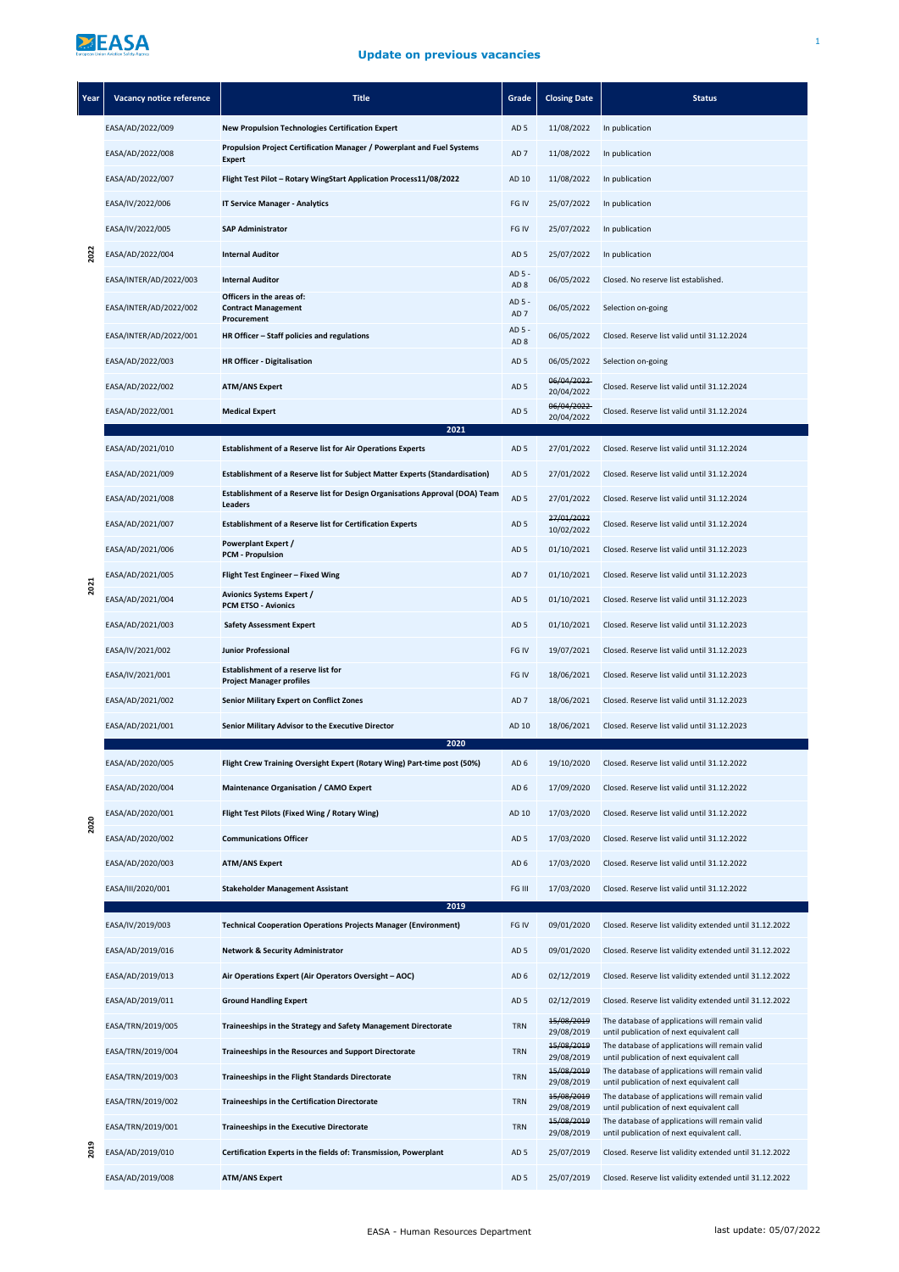## ZEASA

## **Update on previous vacancies**

| Year | Vacancy notice reference             | <b>Title</b>                                                                            | Grade                              | <b>Closing Date</b>      | <b>Status</b>                                                                                |
|------|--------------------------------------|-----------------------------------------------------------------------------------------|------------------------------------|--------------------------|----------------------------------------------------------------------------------------------|
| 2022 | EASA/AD/2022/009                     | <b>New Propulsion Technologies Certification Expert</b>                                 | AD <sub>5</sub>                    | 11/08/2022               | In publication                                                                               |
|      | EASA/AD/2022/008                     | Propulsion Project Certification Manager / Powerplant and Fuel Systems<br><b>Expert</b> | AD <sub>7</sub>                    | 11/08/2022               | In publication                                                                               |
|      | EASA/AD/2022/007                     | Flight Test Pilot - Rotary WingStart Application Process11/08/2022                      | AD 10                              | 11/08/2022               | In publication                                                                               |
|      | EASA/IV/2022/006                     | <b>IT Service Manager - Analytics</b>                                                   | FG IV                              | 25/07/2022               | In publication                                                                               |
|      | EASA/IV/2022/005                     | <b>SAP Administrator</b>                                                                | FG IV                              | 25/07/2022               | In publication                                                                               |
|      | EASA/AD/2022/004                     | <b>Internal Auditor</b>                                                                 | AD <sub>5</sub>                    | 25/07/2022               | In publication                                                                               |
|      | EASA/INTER/AD/2022/003               | <b>Internal Auditor</b>                                                                 | AD 5 -<br>AD <sub>8</sub>          | 06/05/2022               | Closed. No reserve list established.                                                         |
|      | EASA/INTER/AD/2022/002               | Officers in the areas of:<br><b>Contract Management</b><br>Procurement                  | AD 5 -<br>AD <sub>7</sub>          | 06/05/2022               | Selection on-going                                                                           |
|      | EASA/INTER/AD/2022/001               | HR Officer - Staff policies and regulations                                             | AD 5 -<br>AD <sub>8</sub>          | 06/05/2022               | Closed. Reserve list valid until 31.12.2024                                                  |
|      | EASA/AD/2022/003                     | <b>HR Officer - Digitalisation</b>                                                      | AD <sub>5</sub>                    | 06/05/2022               | Selection on-going                                                                           |
|      | EASA/AD/2022/002                     | <b>ATM/ANS Expert</b>                                                                   | AD <sub>5</sub>                    | 06/04/2022<br>20/04/2022 | Closed. Reserve list valid until 31.12.2024                                                  |
|      | EASA/AD/2022/001                     | <b>Medical Expert</b>                                                                   | AD <sub>5</sub>                    | 06/04/2022<br>20/04/2022 | Closed. Reserve list valid until 31.12.2024                                                  |
|      |                                      | 2021<br><b>Establishment of a Reserve list for Air Operations Experts</b>               |                                    |                          |                                                                                              |
|      | EASA/AD/2021/010<br>EASA/AD/2021/009 | Establishment of a Reserve list for Subject Matter Experts (Standardisation)            | AD <sub>5</sub><br>AD <sub>5</sub> | 27/01/2022<br>27/01/2022 | Closed. Reserve list valid until 31.12.2024<br>Closed. Reserve list valid until 31.12.2024   |
|      |                                      | Establishment of a Reserve list for Design Organisations Approval (DOA) Team            | AD <sub>5</sub>                    | 27/01/2022               | Closed. Reserve list valid until 31.12.2024                                                  |
|      | EASA/AD/2021/008<br>EASA/AD/2021/007 | Leaders<br><b>Establishment of a Reserve list for Certification Experts</b>             | AD <sub>5</sub>                    | 27/01/2022               | Closed. Reserve list valid until 31.12.2024                                                  |
|      |                                      | Powerplant Expert /                                                                     | AD <sub>5</sub>                    | 10/02/2022<br>01/10/2021 | Closed. Reserve list valid until 31.12.2023                                                  |
|      | EASA/AD/2021/006<br>EASA/AD/2021/005 | <b>PCM - Propulsion</b><br>Flight Test Engineer - Fixed Wing                            | AD <sub>7</sub>                    | 01/10/2021               | Closed. Reserve list valid until 31.12.2023                                                  |
| 2021 |                                      | <b>Avionics Systems Expert /</b>                                                        |                                    |                          |                                                                                              |
|      | EASA/AD/2021/004                     | <b>PCM ETSO - Avionics</b>                                                              | AD <sub>5</sub><br>AD <sub>5</sub> | 01/10/2021               | Closed. Reserve list valid until 31.12.2023                                                  |
|      | EASA/AD/2021/003                     | <b>Safety Assessment Expert</b>                                                         |                                    | 01/10/2021               | Closed. Reserve list valid until 31.12.2023                                                  |
|      | EASA/IV/2021/002                     | <b>Junior Professional</b><br>Establishment of a reserve list for                       | FG IV                              | 19/07/2021               | Closed. Reserve list valid until 31.12.2023                                                  |
|      | EASA/IV/2021/001                     | <b>Project Manager profiles</b>                                                         | FG IV                              | 18/06/2021               | Closed. Reserve list valid until 31.12.2023                                                  |
|      | EASA/AD/2021/002                     | <b>Senior Military Expert on Conflict Zones</b>                                         | AD <sub>7</sub>                    | 18/06/2021               | Closed. Reserve list valid until 31.12.2023                                                  |
|      | EASA/AD/2021/001                     | Senior Military Advisor to the Executive Director<br>2020                               | AD 10                              | 18/06/2021               | Closed. Reserve list valid until 31.12.2023                                                  |
|      | EASA/AD/2020/005                     | Flight Crew Training Oversight Expert (Rotary Wing) Part-time post (50%)                | AD 6                               | 19/10/2020               | Closed. Reserve list valid until 31.12.2022                                                  |
|      | EASA/AD/2020/004                     | <b>Maintenance Organisation / CAMO Expert</b>                                           | AD <sub>6</sub>                    | 17/09/2020               | Closed. Reserve list valid until 31.12.2022                                                  |
| 2020 | EASA/AD/2020/001                     | Flight Test Pilots (Fixed Wing / Rotary Wing)                                           | AD 10                              | 17/03/2020               | Closed. Reserve list valid until 31.12.2022                                                  |
|      | EASA/AD/2020/002                     | <b>Communications Officer</b>                                                           | AD <sub>5</sub>                    | 17/03/2020               | Closed. Reserve list valid until 31.12.2022                                                  |
|      | EASA/AD/2020/003                     | <b>ATM/ANS Expert</b>                                                                   | AD <sub>6</sub>                    | 17/03/2020               | Closed. Reserve list valid until 31.12.2022                                                  |
|      | EASA/III/2020/001                    | <b>Stakeholder Management Assistant</b>                                                 | FG III                             | 17/03/2020               | Closed. Reserve list valid until 31.12.2022                                                  |
|      | EASA/IV/2019/003                     | 2019<br><b>Technical Cooperation Operations Projects Manager (Environment)</b>          | FG IV                              | 09/01/2020               | Closed. Reserve list validity extended until 31.12.2022                                      |
|      | EASA/AD/2019/016                     | <b>Network &amp; Security Administrator</b>                                             | AD <sub>5</sub>                    | 09/01/2020               | Closed. Reserve list validity extended until 31.12.2022                                      |
|      | EASA/AD/2019/013                     | Air Operations Expert (Air Operators Oversight - AOC)                                   | AD <sub>6</sub>                    | 02/12/2019               | Closed. Reserve list validity extended until 31.12.2022                                      |
|      | EASA/AD/2019/011                     | <b>Ground Handling Expert</b>                                                           | AD <sub>5</sub>                    | 02/12/2019               | Closed. Reserve list validity extended until 31.12.2022                                      |
|      | EASA/TRN/2019/005                    | Traineeships in the Strategy and Safety Management Directorate                          | TRN                                | 15/08/2019<br>29/08/2019 | The database of applications will remain valid<br>until publication of next equivalent call  |
|      | EASA/TRN/2019/004                    | Traineeships in the Resources and Support Directorate                                   | TRN                                | 15/08/2019<br>29/08/2019 | The database of applications will remain valid<br>until publication of next equivalent call  |
|      | EASA/TRN/2019/003                    | Traineeships in the Flight Standards Directorate                                        | TRN                                | 15/08/2019<br>29/08/2019 | The database of applications will remain valid<br>until publication of next equivalent call  |
|      | EASA/TRN/2019/002                    | Traineeships in the Certification Directorate                                           | TRN                                | 15/08/2019<br>29/08/2019 | The database of applications will remain valid<br>until publication of next equivalent call  |
|      | EASA/TRN/2019/001                    | <b>Traineeships in the Executive Directorate</b>                                        | <b>TRN</b>                         | 15/08/2019<br>29/08/2019 | The database of applications will remain valid<br>until publication of next equivalent call. |
| 2019 | EASA/AD/2019/010                     | Certification Experts in the fields of: Transmission, Powerplant                        | AD <sub>5</sub>                    | 25/07/2019               | Closed. Reserve list validity extended until 31.12.2022                                      |
|      | EASA/AD/2019/008                     | <b>ATM/ANS Expert</b>                                                                   | AD <sub>5</sub>                    | 25/07/2019               | Closed. Reserve list validity extended until 31.12.2022                                      |